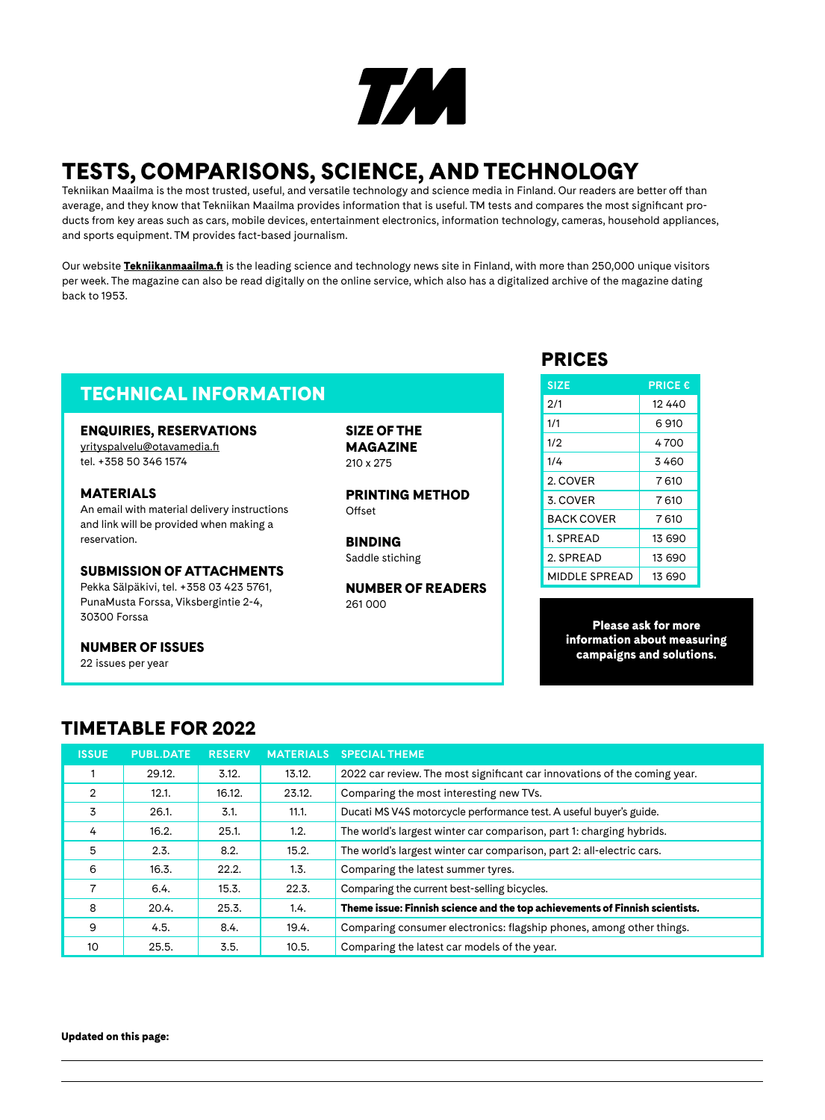

# TESTS, COMPARISONS, SCIENCE, AND TECHNOLOGY

Tekniikan Maailma is the most trusted, useful, and versatile technology and science media in Finland. Our readers are better off than average, and they know that Tekniikan Maailma provides information that is useful. TM tests and compares the most significant products from key areas such as cars, mobile devices, entertainment electronics, information technology, cameras, household appliances, and sports equipment. TM provides fact-based journalism.

Our website **[Tekniikanmaailma.fi](http://Tekniikanmaailma.fi)** is the leading science and technology news site in Finland, with more than 250,000 unique visitors per week. The magazine can also be read digitally on the online service, which also has a digitalized archive of the magazine dating back to 1953.

## **TECHNICAL INFORMATION**

#### ENQUIRIES, RESERVATIONS

[yrityspalvelu@otavamedia.fi](mailto:yrityspalvelu%40otavamedia.fi?subject=) tel. +358 50 346 1574

#### MATERIALS An email with material delivery instructions and link will be provided when making a reservation.

#### SUBMISSION OF ATTACHMENTS

Pekka Sälpäkivi, tel. +358 03 423 5761, PunaMusta Forssa, Viksbergintie 2-4, 30300 Forssa

#### NUMBER OF ISSUES

22 issues per year

SIZE OF THE MAGAZINE 210 x 275

PRINTING METHOD Offset

BINDING Saddle stiching

NUMBER OF READERS 261 000

### PRICES

| <b>SIZE</b>       | <b>PRICE €</b> |
|-------------------|----------------|
| 2/1               | 12 440         |
| 1/1               | 6910           |
| 1/2               | 4700           |
| 1/4               | 3460           |
| 2. COVER          | 7610           |
| 3. COVER          | 7610           |
| <b>BACK COVER</b> | 7610           |
| 1. SPREAD         | 13 690         |
| 2. SPREAD         | 13 690         |
| MIDDLE SPREAD     | 13 690         |

Please ask for more information about measuring campaigns and solutions.

## TIMETABLE FOR 2022

| <b>ISSUE</b>   | <b>PUBL.DATE</b> | <b>RESERV</b> |        | <b>MATERIALS SPECIAL THEME</b>                                               |
|----------------|------------------|---------------|--------|------------------------------------------------------------------------------|
|                | 29.12.           | 3.12.         | 13.12. | 2022 car review. The most significant car innovations of the coming year.    |
| $\overline{2}$ | 12.1.            | 16.12.        | 23.12. | Comparing the most interesting new TVs.                                      |
| 3              | 26.1.            | 3.1.          | 11.1.  | Ducati MS V4S motorcycle performance test. A useful buyer's guide.           |
| 4              | 16.2.            | 25.1.         | 1.2.   | The world's largest winter car comparison, part 1: charging hybrids.         |
| 5              | 2.3.             | 8.2.          | 15.2.  | The world's largest winter car comparison, part 2: all-electric cars.        |
| 6              | 16.3.            | 22.2.         | 1.3.   | Comparing the latest summer tyres.                                           |
| 7              | 6.4.             | 15.3.         | 22.3.  | Comparing the current best-selling bicycles.                                 |
| 8              | 20.4.            | 25.3.         | 1.4.   | Theme issue: Finnish science and the top achievements of Finnish scientists. |
| 9              | 4.5.             | 8.4.          | 19.4.  | Comparing consumer electronics: flagship phones, among other things.         |
| 10             | 25.5.            | 3.5.          | 10.5.  | Comparing the latest car models of the year.                                 |

Updated on this page: